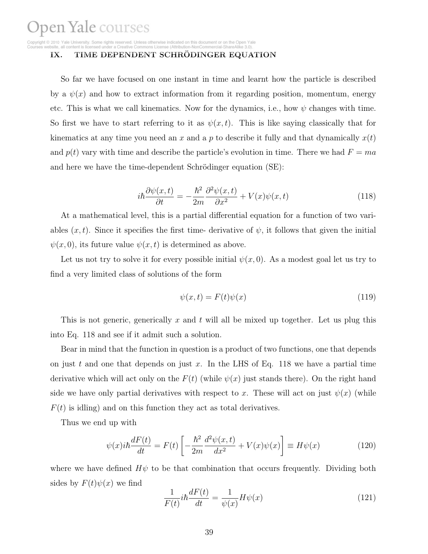a Creative Commons License (Attribution-NonCommercial-ShareAlike 3.0)

#### IX. TIME DEPENDENT SCHRÖDINGER EQUATION

So far we have focused on one instant in time and learnt how the particle is described by a  $\psi(x)$  and how to extract information from it regarding position, momentum, energy etc. This is what we call kinematics. Now for the dynamics, i.e., how  $\psi$  changes with time. So first we have to start referring to it as  $\psi(x, t)$ . This is like saying classically that for kinematics at any time you need an x and a p to describe it fully and that dynamically  $x(t)$ and  $p(t)$  vary with time and describe the particle's evolution in time. There we had  $F = ma$ and here we have the time-dependent Schrödinger equation (SE):

$$
i\hbar \frac{\partial \psi(x,t)}{\partial t} = -\frac{\hbar^2}{2m} \frac{\partial^2 \psi(x,t)}{\partial x^2} + V(x)\psi(x,t)
$$
\n(118)

At a mathematical level, this is a partial differential equation for a function of two variables  $(x, t)$ . Since it specifies the first time- derivative of  $\psi$ , it follows that given the initial  $\psi(x,0)$ , its future value  $\psi(x,t)$  is determined as above.

Let us not try to solve it for every possible initial  $\psi(x, 0)$ . As a modest goal let us try to find a very limited class of solutions of the form

$$
\psi(x,t) = F(t)\psi(x) \tag{119}
$$

This is not generic, generically x and t will all be mixed up together. Let us plug this into Eq. 118 and see if it admit such a solution.

Bear in mind that the function in question is a product of two functions, one that depends on just t and one that depends on just x. In the LHS of Eq. 118 we have a partial time derivative which will act only on the  $F(t)$  (while  $\psi(x)$  just stands there). On the right hand side we have only partial derivatives with respect to x. These will act on just  $\psi(x)$  (while  $F(t)$  is idling) and on this function they act as total derivatives.

Thus we end up with

$$
\psi(x)i\hbar \frac{dF(t)}{dt} = F(t) \left[ -\frac{\hbar^2}{2m} \frac{d^2 \psi(x,t)}{dx^2} + V(x)\psi(x) \right] \equiv H\psi(x) \tag{120}
$$

where we have defined  $H\psi$  to be that combination that occurs frequently. Dividing both sides by  $F(t)\psi(x)$  we find

$$
\frac{1}{F(t)}i\hbar\frac{dF(t)}{dt} = \frac{1}{\psi(x)}H\psi(x)
$$
\n(121)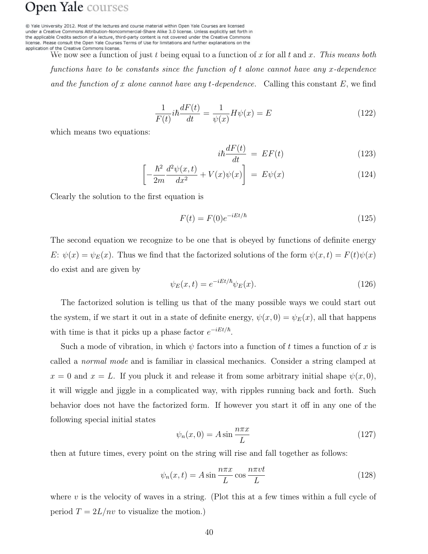@ Yale University 2012. Most of the lectures and course material within Open Yale Courses are licensed under a Creative Commons Attribution-Noncommercial-Share Alike 3.0 license. Unless explicitly set forth in the applicable Credits section of a lecture, third-party content is not covered under the Creative Commons license. Please consult the Open Yale Courses Terms of Use for limitations and further explanations on the application of the Creative Commons license.

We now see a function of just t being equal to a function of x for all t and x. This means both functions have to be constants since the function of t alone cannot have any x-dependence and the function of x alone cannot have any t-dependence. Calling this constant  $E$ , we find

$$
\frac{1}{F(t)}i\hbar\frac{dF(t)}{dt} = \frac{1}{\psi(x)}H\psi(x) = E\tag{122}
$$

which means two equations:

$$
i\hbar \frac{dF(t)}{dt} = EF(t) \tag{123}
$$

$$
\left[-\frac{\hbar^2}{2m}\frac{d^2\psi(x,t)}{dx^2} + V(x)\psi(x)\right] = E\psi(x)
$$
\n(124)

Clearly the solution to the first equation is

$$
F(t) = F(0)e^{-iEt/\hbar}
$$
\n<sup>(125)</sup>

The second equation we recognize to be one that is obeyed by functions of definite energy E:  $\psi(x) = \psi_E(x)$ . Thus we find that the factorized solutions of the form  $\psi(x,t) = F(t)\psi(x)$ do exist and are given by

$$
\psi_E(x,t) = e^{-iEt/\hbar} \psi_E(x). \tag{126}
$$

The factorized solution is telling us that of the many possible ways we could start out the system, if we start it out in a state of definite energy,  $\psi(x, 0) = \psi_E(x)$ , all that happens with time is that it picks up a phase factor  $e^{-iEt/\hbar}$ .

Such a mode of vibration, in which  $\psi$  factors into a function of t times a function of x is called a normal mode and is familiar in classical mechanics. Consider a string clamped at  $x = 0$  and  $x = L$ . If you pluck it and release it from some arbitrary initial shape  $\psi(x, 0)$ , it will wiggle and jiggle in a complicated way, with ripples running back and forth. Such behavior does not have the factorized form. If however you start it off in any one of the following special initial states

$$
\psi_n(x,0) = A \sin \frac{n\pi x}{L} \tag{127}
$$

then at future times, every point on the string will rise and fall together as follows:

$$
\psi_n(x,t) = A \sin \frac{n\pi x}{L} \cos \frac{n\pi vt}{L}
$$
\n(128)

where  $v$  is the velocity of waves in a string. (Plot this at a few times within a full cycle of period  $T = 2L/nv$  to visualize the motion.)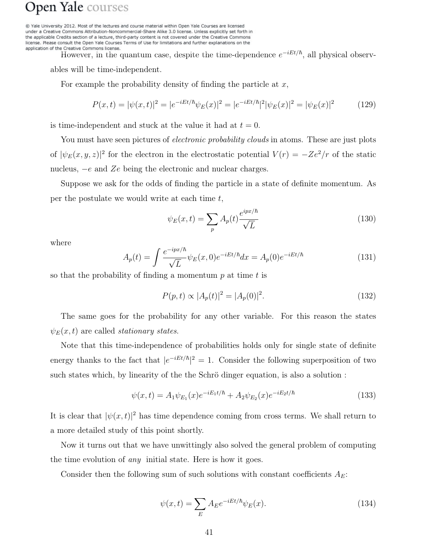@ Yale University 2012. Most of the lectures and course material within Open Yale Courses are licensed under a Creative Commons Attribution-Noncommercial-Share Alike 3.0 license. Unless explicitly set forth in the applicable Credits section of a lecture, third-party content is not covered under the Creative Commons license. Please consult the Open Yale Courses Terms of Use for limitations and further explanations on the application of the Creative Commons license.

However, in the quantum case, despite the time-dependence  $e^{-iEt/\hbar}$ , all physical observ-

ables will be time-independent.

For example the probability density of finding the particle at  $x$ ,

$$
P(x,t) = |\psi(x,t)|^2 = |e^{-iEt/\hbar}\psi_E(x)|^2 = |e^{-iEt/\hbar}|^2|\psi_E(x)|^2 = |\psi_E(x)|^2 \tag{129}
$$

is time-independent and stuck at the value it had at  $t = 0$ .

You must have seen pictures of *electronic probability clouds* in atoms. These are just plots of  $|\psi_E(x, y, z)|^2$  for the electron in the electrostatic potential  $V(r) = -Ze^2/r$  of the static nucleus, −e and Ze being the electronic and nuclear charges.

Suppose we ask for the odds of finding the particle in a state of definite momentum. As per the postulate we would write at each time  $t$ ,

$$
\psi_E(x,t) = \sum_p A_p(t) \frac{e^{ipx/\hbar}}{\sqrt{L}}\tag{130}
$$

where

$$
A_p(t) = \int \frac{e^{-ipx/\hbar}}{\sqrt{L}} \psi_E(x,0) e^{-iEt/\hbar} dx = A_p(0) e^{-iEt/\hbar}
$$
 (131)

so that the probability of finding a momentum  $p$  at time  $t$  is

$$
P(p,t) \propto |A_p(t)|^2 = |A_p(0)|^2. \tag{132}
$$

The same goes for the probability for any other variable. For this reason the states  $\psi_E(x,t)$  are called *stationary states.* 

Note that this time-independence of probabilities holds only for single state of definite energy thanks to the fact that  $|e^{-iEt/\hbar}|^2 = 1$ . Consider the following superposition of two such states which, by linearity of the the Schrö dinger equation, is also a solution :

$$
\psi(x,t) = A_1 \psi_{E_1}(x) e^{-iE_1 t/\hbar} + A_2 \psi_{E_2}(x) e^{-iE_2 t/\hbar}
$$
\n(133)

It is clear that  $|\psi(x,t)|^2$  has time dependence coming from cross terms. We shall return to a more detailed study of this point shortly.

Now it turns out that we have unwittingly also solved the general problem of computing the time evolution of any initial state. Here is how it goes.

Consider then the following sum of such solutions with constant coefficients  $A_E$ :

$$
\psi(x,t) = \sum_{E} A_E e^{-iEt/\hbar} \psi_E(x). \tag{134}
$$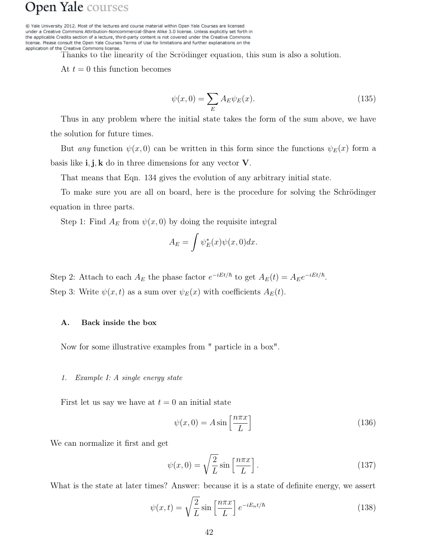@ Yale University 2012. Most of the lectures and course material within Open Yale Courses are licensed under a Creative Commons Attribution-Noncommercial-Share Alike 3.0 license. Unless explicitly set forth in the applicable Credits section of a lecture, third-party content is not covered under the Creative Commons license. Please consult the Open Yale Courses Terms of Use for limitations and further explanations on the application of the Creative Commons license.

Thanks to the linearity of the Scrödinger equation, this sum is also a solution.

At  $t = 0$  this function becomes

$$
\psi(x,0) = \sum_{E} A_E \psi_E(x). \tag{135}
$$

Thus in any problem where the initial state takes the form of the sum above, we have the solution for future times.

But any function  $\psi(x,0)$  can be written in this form since the functions  $\psi_E(x)$  form a basis like  $\mathbf{i}, \mathbf{j}, \mathbf{k}$  do in three dimensions for any vector  $\mathbf{V}$ .

That means that Eqn. 134 gives the evolution of any arbitrary initial state.

To make sure you are all on board, here is the procedure for solving the Schrödinger equation in three parts.

Step 1: Find  $A_E$  from  $\psi(x,0)$  by doing the requisite integral

$$
A_E = \int \psi_E^*(x)\psi(x,0)dx.
$$

Step 2: Attach to each  $A_E$  the phase factor  $e^{-iEt/\hbar}$  to get  $A_E(t) = A_E e^{-iEt/\hbar}$ . Step 3: Write  $\psi(x, t)$  as a sum over  $\psi_E(x)$  with coefficients  $A_E(t)$ .

#### A. Back inside the box

Now for some illustrative examples from " particle in a box".

#### *1. Example I: A single energy state*

First let us say we have at  $t = 0$  an initial state

$$
\psi(x,0) = A \sin\left[\frac{n\pi x}{L}\right] \tag{136}
$$

We can normalize it first and get

$$
\psi(x,0) = \sqrt{\frac{2}{L}} \sin\left[\frac{n\pi x}{L}\right].\tag{137}
$$

What is the state at later times? Answer: because it is a state of definite energy, we assert

$$
\psi(x,t) = \sqrt{\frac{2}{L}} \sin\left[\frac{n\pi x}{L}\right] e^{-iE_n t/\hbar}
$$
\n(138)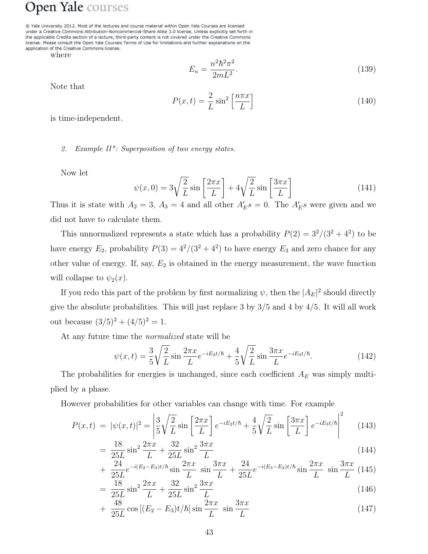@ Yale University 2012. Most of the lectures and course material within Open Yale Courses are licensed under a Creative Commons Attribution-Noncommercial-Share Alike 3.0 license. Unless explicitly set forth in the applicable Credits section of a lecture, third-party content is not covered under the Creative Commons license. Please consult the Open Yale Courses Terms of Use for limitations and further explanations on the application of the Creative Commons license.

where

$$
E_n = \frac{n^2 \hbar^2 \pi^2}{2mL^2}.
$$
\n(139)

Note that

$$
P(x,t) = \frac{2}{L}\sin^2\left[\frac{n\pi x}{L}\right]
$$
\n(140)

is time-independent.

*2. Example II": Superposition of two energy states.*

Now let

$$
\psi(x,0) = 3\sqrt{\frac{2}{L}}\sin\left[\frac{2\pi x}{L}\right] + 4\sqrt{\frac{2}{L}}\sin\left[\frac{3\pi x}{L}\right]
$$
\n(141)

Thus it is state with  $A_2 = 3$ ,  $A_3 = 4$  and all other  $A'_E s = 0$ . The  $A'_E s$  were given and we did not have to calculate them.

This unnormalized represents a state which has a probability  $P(2) = 3^2/(3^2 + 4^2)$  to be have energy  $E_2$ , probability  $P(3) = 4^2/(3^2 + 4^2)$  to have energy  $E_3$  and zero chance for any other value of energy. If, say,  $E_2$  is obtained in the energy measurement, the wave function will collapse to  $\psi_2(x)$ .

If you redo this part of the problem by first normalizing  $\psi$ , then the  $|A_E|^2$  should directly give the absolute probabilities. This will just replace 3 by  $3/5$  and 4 by  $4/5$ . It will all work out because  $(3/5)^2 + (4/5)^2 = 1$ .

At any future time the normalized state will be

$$
\psi(x,t) = \frac{3}{5} \sqrt{\frac{2}{L}} \sin \frac{2\pi x}{L} e^{-iE_2 t/\hbar} + \frac{4}{5} \sqrt{\frac{2}{L}} \sin \frac{3\pi x}{L} e^{-iE_3 t/\hbar}.
$$
 (142)

The probabilities for energies is unchanged, since each coefficient  $A_E$  was simply multiplied by a phase.

However probabilities for other variables can change with time. For example

$$
P(x,t) = |\psi(x,t)|^2 = \left| \frac{3}{5} \sqrt{\frac{2}{L}} \sin\left[\frac{2\pi x}{L}\right] e^{-iE_2 t/\hbar} + \frac{4}{5} \sqrt{\frac{2}{L}} \sin\left[\frac{3\pi x}{L}\right] e^{-iE_3 t/\hbar} \right|^2 \tag{143}
$$

$$
= \frac{18}{25L} \sin^2 \frac{2\pi x}{L} + \frac{32}{25L} \sin^2 \frac{3\pi x}{L}
$$
 (144)

$$
+\frac{24}{25L}e^{-i(E_2-E_3)t/\hbar}\sin\frac{2\pi x}{L}\sin\frac{3\pi x}{L}+\frac{24}{25L}e^{-i(E_3-E_2)t/\hbar}\sin\frac{2\pi x}{L}\sin\frac{3\pi x}{L}
$$
(145)

$$
= \frac{18}{25L} \sin^2 \frac{2\pi x}{L} + \frac{32}{25L} \sin^2 \frac{3\pi x}{L}
$$
 (146)

$$
+\frac{48}{25L}\cos[(E_2 - E_3)t/\hbar]\sin\frac{2\pi x}{L}\sin\frac{3\pi x}{L}\tag{147}
$$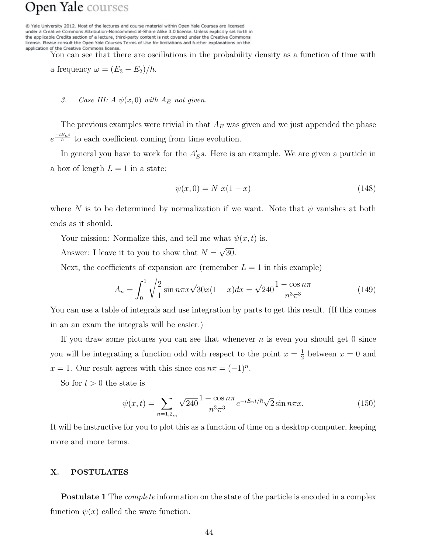@ Yale University 2012. Most of the lectures and course material within Open Yale Courses are licensed under a Creative Commons Attribution-Noncommercial-Share Alike 3.0 license. Unless explicitly set forth in the applicable Credits section of a lecture, third-party content is not covered under the Creative Commons license. Please consult the Open Yale Courses Terms of Use for limitations and further explanations on the application of the Creative Commons license.

You can see that there are oscillations in the probability density as a function of time with

a frequency  $\omega = (E_3 - E_2)/\hbar$ .

#### *3. Case III:*  $A \psi(x,0)$  *with*  $A_E$  *not given.*

The previous examples were trivial in that  $A_E$  was given and we just appended the phase  $e^{\frac{-iE_nt}{\hbar}}$  to each coefficient coming from time evolution.

In general you have to work for the  $A'_{E}s$ . Here is an example. We are given a particle in a box of length  $L = 1$  in a state:

$$
\psi(x,0) = N \ x(1-x) \tag{148}
$$

where N is to be determined by normalization if we want. Note that  $\psi$  vanishes at both ends as it should.

Your mission: Normalize this, and tell me what  $\psi(x, t)$  is.

Answer: I leave it to you to show that  $N = \sqrt{30}$ .

Next, the coefficients of expansion are (remember  $L = 1$  in this example)

$$
A_n = \int_0^1 \sqrt{\frac{2}{1}} \sin n\pi x \sqrt{30} x (1-x) dx = \sqrt{240} \frac{1-\cos n\pi}{n^3 \pi^3}
$$
(149)

You can use a table of integrals and use integration by parts to get this result. (If this comes in an an exam the integrals will be easier.)

If you draw some pictures you can see that whenever  $n$  is even you should get 0 since you will be integrating a function odd with respect to the point  $x = \frac{1}{2}$  between  $x = 0$  and  $x = 1$ . Our result agrees with this since  $\cos n\pi = (-1)^n$ .

So for  $t > 0$  the state is

$$
\psi(x,t) = \sum_{n=1,2,..} \sqrt{240} \frac{1 - \cos n\pi}{n^3 \pi^3} e^{-iE_n t/\hbar} \sqrt{2} \sin n\pi x.
$$
 (150)

It will be instructive for you to plot this as a function of time on a desktop computer, keeping more and more terms.

#### X. POSTULATES

**Postulate 1** The *complete* information on the state of the particle is encoded in a complex function  $\psi(x)$  called the wave function.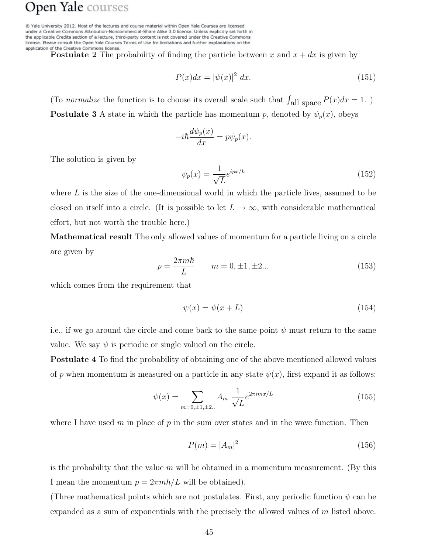@ Yale University 2012. Most of the lectures and course material within Open Yale Courses are licensed under a Creative Commons Attribution-Noncommercial-Share Alike 3.0 license. Unless explicitly set forth in the applicable Credits section of a lecture, third-party content is not covered under the Creative Commons license. Please consult the Open Yale Courses Terms of Use for limitations and further explanations on the application of the Creative Commons license.

**Postulate 2** The probability of finding the particle between x and  $x + dx$  is given by

$$
P(x)dx = |\psi(x)|^2 dx.
$$
\n(151)

(To normalize the function is to choose its overall scale such that  $\int_{\text{all space}} P(x)dx = 1$ .) **Postulate 3** A state in which the particle has momentum p, denoted by  $\psi_p(x)$ , obeys

$$
-i\hbar \frac{d\psi_p(x)}{dx} = p\psi_p(x).
$$

The solution is given by

$$
\psi_p(x) = \frac{1}{\sqrt{L}} e^{ipx/\hbar} \tag{152}
$$

where  $L$  is the size of the one-dimensional world in which the particle lives, assumed to be closed on itself into a circle. (It is possible to let  $L \to \infty$ , with considerable mathematical effort, but not worth the trouble here.)

Mathematical result The only allowed values of momentum for a particle living on a circle are given by

$$
p = \frac{2\pi m\hbar}{L} \qquad m = 0, \pm 1, \pm 2...
$$
 (153)

which comes from the requirement that

$$
\psi(x) = \psi(x + L) \tag{154}
$$

i.e., if we go around the circle and come back to the same point  $\psi$  must return to the same value. We say  $\psi$  is periodic or single valued on the circle.

Postulate 4 To find the probability of obtaining one of the above mentioned allowed values of p when momentum is measured on a particle in any state  $\psi(x)$ , first expand it as follows:

$$
\psi(x) = \sum_{m=0,\pm 1,\pm 2...} A_m \frac{1}{\sqrt{L}} e^{2\pi i m x/L}
$$
\n(155)

where I have used m in place of p in the sum over states and in the wave function. Then

$$
P(m) = |A_m|^2 \tag{156}
$$

is the probability that the value  $m$  will be obtained in a momentum measurement. (By this I mean the momentum  $p = 2\pi m\hbar/L$  will be obtained).

(Three mathematical points which are not postulates. First, any periodic function  $\psi$  can be expanded as a sum of exponentials with the precisely the allowed values of m listed above.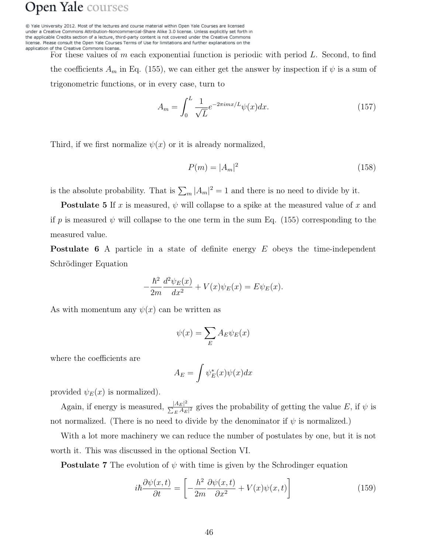@ Yale University 2012. Most of the lectures and course material within Open Yale Courses are licensed under a Creative Commons Attribution-Noncommercial-Share Alike 3.0 license. Unless explicitly set forth in the applicable Credits section of a lecture, third-party content is not covered under the Creative Commons license. Please consult the Open Yale Courses Terms of Use for limitations and further explanations on the application of the Creative Commons license.

> For these values of m each exponential function is periodic with period L. Second, to find the coefficients  $A_m$  in Eq. (155), we can either get the answer by inspection if  $\psi$  is a sum of trigonometric functions, or in every case, turn to

$$
A_m = \int_0^L \frac{1}{\sqrt{L}} e^{-2\pi i m x/L} \psi(x) dx.
$$
 (157)

Third, if we first normalize  $\psi(x)$  or it is already normalized,

$$
P(m) = |A_m|^2 \tag{158}
$$

is the absolute probability. That is  $\sum_m |A_m|^2 = 1$  and there is no need to divide by it.

**Postulate 5** If x is measured,  $\psi$  will collapse to a spike at the measured value of x and if p is measured  $\psi$  will collapse to the one term in the sum Eq. (155) corresponding to the measured value.

Postulate 6 A particle in a state of definite energy E obeys the time-independent Schrödinger Equation

$$
-\frac{\hbar^2}{2m}\frac{d^2\psi_E(x)}{dx^2} + V(x)\psi_E(x) = E\psi_E(x).
$$

As with momentum any  $\psi(x)$  can be written as

$$
\psi(x) = \sum_{E} A_{E} \psi_{E}(x)
$$

where the coefficients are

$$
A_E = \int \psi_E^*(x)\psi(x)dx
$$

provided  $\psi_E(x)$  is normalized).

Again, if energy is measured,  $\frac{|A_E|^2}{\sum_{i} A_E}$  $\frac{|AE|^2}{\sum_E A_E|^2}$  gives the probability of getting the value E, if  $\psi$  is not normalized. (There is no need to divide by the denominator if  $\psi$  is normalized.)

With a lot more machinery we can reduce the number of postulates by one, but it is not worth it. This was discussed in the optional Section VI.

**Postulate 7** The evolution of  $\psi$  with time is given by the Schrodinger equation

$$
i\hbar \frac{\partial \psi(x,t)}{\partial t} = \left[ -\frac{\hbar^2}{2m} \frac{\partial \psi(x,t)}{\partial x^2} + V(x)\psi(x,t) \right]
$$
(159)